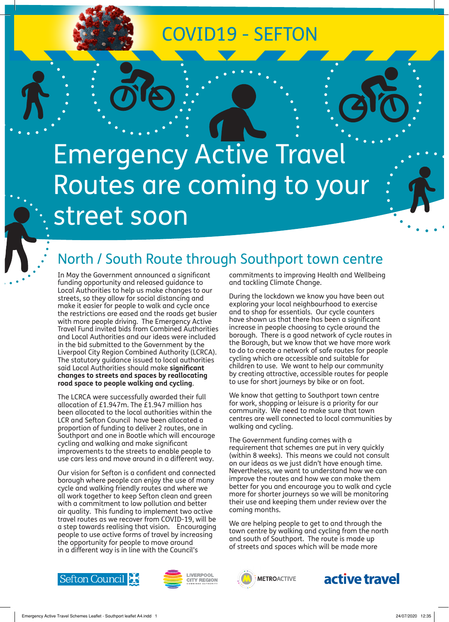## COVID19 - SEFTON

# Emergency Active Travel Routes are coming to your street soon

## North / South Route through Southport town centre

In May the Government announced a significant funding opportunity and released guidance to Local Authorities to help us make changes to our streets, so they allow for social distancing and make it easier for people to walk and cycle once the restrictions are eased and the roads get busier with more people driving. The Emergency Active Travel Fund invited bids from Combined Authorities and Local Authorities and our ideas were included in the bid submitted to the Government by the Liverpool City Region Combined Authority (LCRCA). The statutory guidance issued to local authorities said Local Authorities should make **significant changes to streets and spaces by reallocating road space to people walking and cycling**.

The LCRCA were successfully awarded their full allocation of £1.947m. The £1.947 million has been allocated to the local authorities within the LCR and Sefton Council have been allocated a proportion of funding to deliver 2 routes, one in Southport and one in Bootle which will encourage cycling and walking and make significant improvements to the streets to enable people to use cars less and move around in a different way.

Our vision for Sefton is a confident and connected borough where people can enjoy the use of many cycle and walking friendly routes and where we all work together to keep Sefton clean and green with a commitment to low pollution and better air quality. This funding to implement two active travel routes as we recover from COVID-19, will be a step towards realising that vision. Encouraging people to use active forms of travel by increasing the opportunity for people to move around in a different way is in line with the Council's

commitments to improving Health and Wellbeing and tackling Climate Change.

During the lockdown we know you have been out exploring your local neighbourhood to exercise and to shop for essentials. Our cycle counters have shown us that there has been a significant increase in people choosing to cycle around the borough. There is a good network of cycle routes in the Borough, but we know that we have more work to do to create a network of safe routes for people cycling which are accessible and suitable for children to use. We want to help our community by creating attractive, accessible routes for people to use for short journeys by bike or on foot.

We know that getting to Southport town centre for work, shopping or leisure is a priority for our community. We need to make sure that town centres are well connected to local communities by walking and cycling.

The Government funding comes with a requirement that schemes are put in very quickly (within 8 weeks). This means we could not consult on our ideas as we just didn't have enough time. Nevertheless, we want to understand how we can improve the routes and how we can make them better for you and encourage you to walk and cycle more for shorter journeys so we will be monitoring their use and keeping them under review over the coming months.

We are helping people to get to and through the town centre by walking and cycling from the north and south of Southport. The route is made up of streets and spaces which will be made more